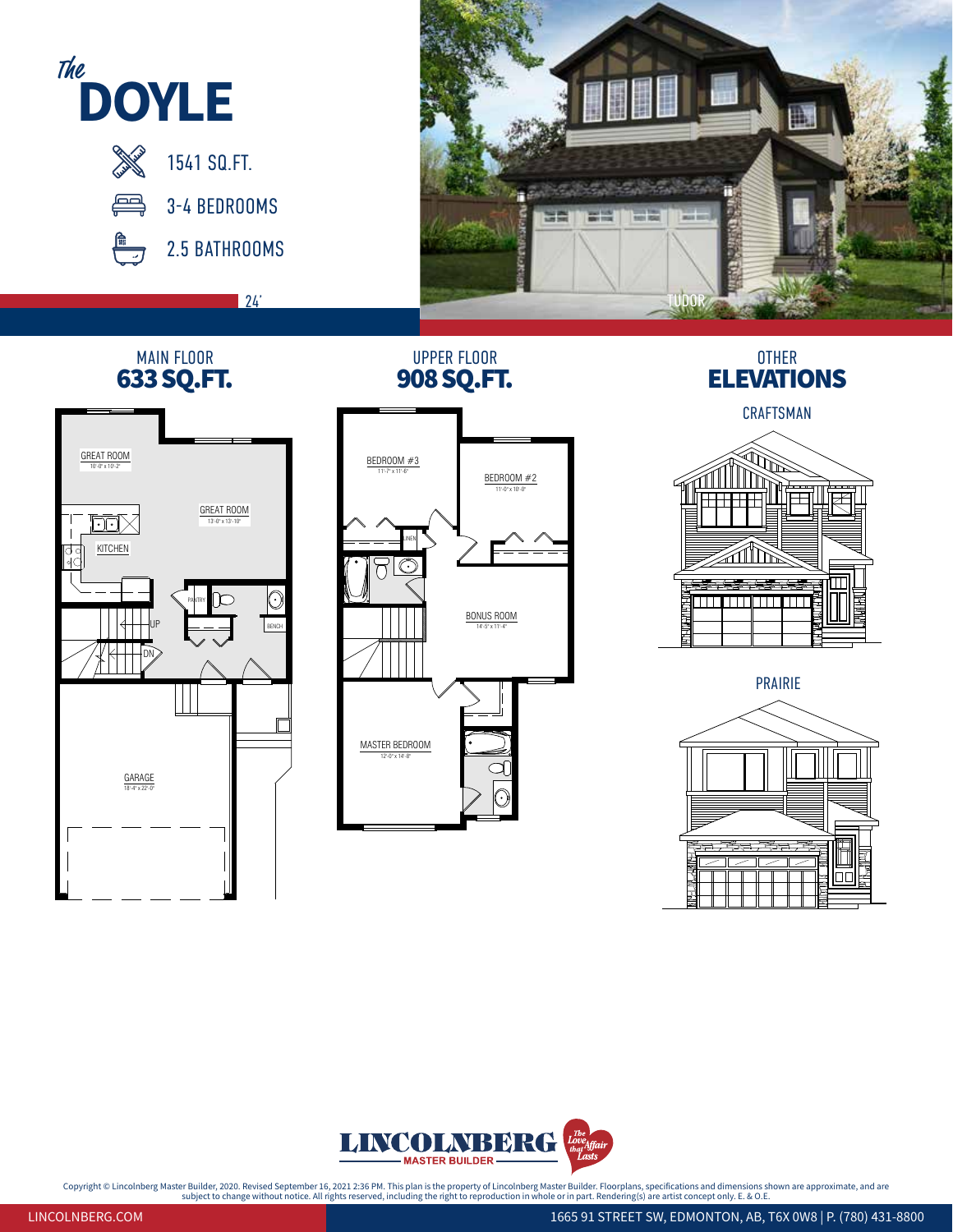

24'



## UPPER FLOOR

## MAIN FLOOR UPPER FLOOR UPPER FLOOR OTHER<br> **633 SQ.FT.** 908 SQ.FT. ELEVATIONS







## CRAFTSMAN ELEVATION <sup>1</sup> PRAIRIE





Copyright © Lincolnberg Master Builder, 2020. Revised September 16, 2021 2:36 PM. This plan is the property of Lincolnberg Master Builder. Floorplans, specifications and dimensions shown are approximate, and are<br>subject on